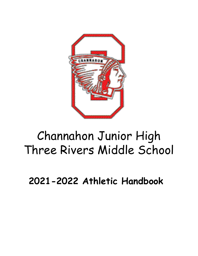

# Channahon Junior High Three Rivers Middle School

**2021-2022 Athletic Handbook**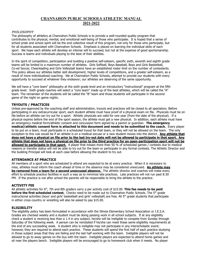## **CHANNAHON PUBLIC SCHOOLS ATHLETIC MANUAL 2021-2022**

## **PHILOSOPHY**

The philosophy of athletics at Channahon Public Schools is to provide a well-rounded quality program that contributes to the physical, mental, and emotional well-being of those who participate. It is hoped that a sense of school pride and school spirit will be the end collective result of this program, not only for those who participate, but for all students associated with Channahon Schools. Emphasis is placed on learning the individual skills of each sport. We hope each athlete will develop an intense will to succeed, but not at the expense of good sportsmanship. Success is teams and individuals playing to the best of their abilities.

In the spirit of competition, participation and building a positive self-esteem, specific sixth, seventh and eighth grade teams will be limited to a maximum number of athletes. Girls Softball, Boys Baseball, Boys and Girls Basketball, Co-ed Soccer, Cheerleading and Girls Volleyball teams have an established roster limit on the number of contestants. This policy allows our athletes better skill development, higher levels of competitions, and a greater self-esteem, as a result of more individualized coaching. We at Channahon Public Schools, attempt to provide our students with every opportunity to succeed at whatever they endeavor; our athletes are deserving of the same opportunity.

We will have a "core team" philosophy at the sixth grade level and an introductory "instructional" program at the fifth grade level. Sixth grade coaches will select a "core team" made up of the best athletes, which will be called the "A" team. The remainder of the students will be called the "B" team and those students will participate in the second game of the night on game nights.

## **TRYOUTS / PRACTICES**

Unless pre-approved by the coaching staff and administration, tryouts and practices will be closed to all spectators. Before participating in any extracurricular sport, each student athlete must have proof of a physical exam on file. Physicals must be on file before an athlete can try out for a sport. Athletic physicals are valid for one year (from the date of the physical). If a physical expires before the end of the sport season, the athlete must get a new physical. In addition, each athlete must have an emergency medical form/athletic consent and concussion form signed by a parent or guardian. **The emergency medical/athletic consent form is attached to this document and needs to be submitted to the coach.** Every player to be put on a team, must participate in a scheduled tryout for that team, or they will not be allowed on the team. The only exception to this rule would be if an athlete is on a medical excuse or a new student moves into the district. **Any athlete that** does not have a physical on file prior to the last try-out date will not be allowed to participate in that sport. Any athlete that does not have a physical on file prior to the third practice for an open-participation sport will not be **allowed to participate in that sport.** A player that misses more than 50 % of scheduled games / contests due to medical reasons or transfer status will not be able to try out for the team or participate in any formal contests. The Athletic Director and the building Principal will look at each case before allowing the student to try out.

#### **ATTENDANCE AT PRACTICE**

All members of a sport who are scheduled to attend are expected to be at every practice. When it is necessary to miss, athletes must inform the coach ahead of time or the absence may be considered unexcused. **An athlete may be removed from a team for a second unexcused absence.** The athletic director and coaches will make every effort to schedule practice facilities in such a way as to minimize late practices. Late practices will not run past 8:30 PM. If the practice is not after school the parents will be responsible to bring the athlete to the practice.

#### **ACTIVITY FEE**

All athletic activities for 6 th , 7th and 8th graders carry a per activity cost of \$15.00. **This fee needs to be paid before the first scheduled contest.** Checks need to be made out to Channahon Public Schools. The 5 th grade instructional activities (boys' and girls' basketball and girls' volleyball) are free. All 5 th grade students that participate in either cross country or wrestling will also be asked to pay \$15.00.

#### **ELIGIBILITY**

The eligibility policy has been formulated in accordance with the Illinois Elementary School Association or I.E.S.A. Grades are checked weekly and a student must be doing passing work in all school subjects. If at any eligibility check a student is receiving less than a 1.4 in any subject, he/she will be ineligible to compete from Sunday through Saturday of the following week. A person can be reinstated if he/she can meet these same eligibility requirements at the end of any succeeding week. A student who is ineligible may not participate in any interscholastic event; however, they are required to attend each practice. These students will spend the first half of each practice studying in those subject areas that they are failing and the last half working with the team. Ineligible players will not be allowed to go to away games on the bus with the team. Ineligible players are expected to attend home games and sit near the players bench. Ineligible players will be encouraged to go to homework club when it meets. No player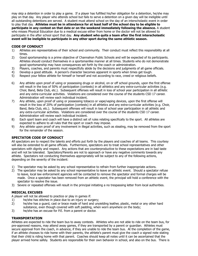may skip a detention in order to play a game. If a player has fulfilled his/her obligation for a detention, he/she may play on that day. Any player who attends school but fails to serve a detention on a given day will be ineligible until all outstanding detentions are served. A student must attend school on the day of an interscholastic event in order to play that day. **Athletes must be in attendance for at least half of the school day to be eligible to participate in any contest on that date or on the weekend immediately following the absence.** A student who misses Physical Education due to a medical excuse either from home or the doctor will not be allowed to participate in the after school sport that day. **Any student who quits a team after the first interscholastic event will be ineligible to participate in any other sport during the same athletic season.**

## **CODE OF CONDUCT**

- 1) Athletes are representatives of their school and community. Their conduct must reflect this responsibility at all times.
- 2) Good sportsmanship is a prime objective of Channahon Public Schools and will be expected of its participants. Athletes should conduct themselves in a sportsmanlike manner at all times. Students who do not demonstrate good sportsmanship may have consequences set forth by the coach or administration.
- 3) Players, coaches, and parents must respectfully abide by the decisions and judgments of all game officials.
- 4) Develop a good attitude. A person's character becomes apparent in sports when times get tough.
- 5) Respect your fellow athlete for himself or herself and not according to race, creed or religious beliefs.
- 6) Any athlete upon proof of using or possessing drugs or alcohol, on or off school grounds, upon the first offense will result in the loss of 50% of participation (contests) in all athletics and any extra-curricular activities (e.g. Choir, Band, Beta Club, etc.). Subsequent offenses will result in loss of school year participation in all athletic and any extra-curricular activities. Violations are considered over the course of the students CSD 17 career. Administration will review each individual incident.
- 7) Any athlete, upon proof of using or possessing tobacco or vape/vaping devices, upon the first offense will result in the loss of 20% of participation (contests) in all athletics and any extra-curricular activities (e.g. Choir, Band, Beta Club, etc.). Subsequent offenses will result in loss of school year participation in all athletic and any extra-curricular activities. Violations are considered over the course of the students CSD 17 career. Administration will review each individual incident.
- 8) Each sport team and coach will have a distinct set of rules relating specifically to the sport. All athletes are expected to adhere to all rules that the sport or coach may impose.
- 9) Any athlete upon proof of any involvement in illegal activities, such as stealing, may be removed from the sport for the remainder of the season.

## **SPECTATOR CODE OF CONDUCT**

All spectators are to respect the talents and efforts put forth by the players and coaches of all teams. This courtesy will also be extended to all game officials. Furthermore, spectators are to treat school representatives and other spectators with dignity and respect. Any actions that are counterproductive to these expectations are in bad taste and will not be tolerated. Spectators/Parents are not to approach or have any negative comments towards any athlete. Spectators not conducting themselves appropriately will be subject to any of the following actions, depending on the severity of the incident:

- 1) The spectator may be asked by any school representative to refrain from further inappropriate actions.
- 2) The spectator may be asked by any school representative to leave an athletic event. Should a spectator refuse to leave, local law enforcement agencies will be contacted to remove the spectator and formal charges will be made. Once a spectator has been removed from an athletic event, the principal will hold a conference with the spectator to resolve the issue.
- 3) Severe or repeated offenses will result in the principal initiating a no trespassing letter from local authorities.

## **MEDICAL EXCUSES**

A player will not be allowed to practice or play in games if:

- 1) he/she has stitches in place due to an injury or surgery;
- 2) he/she has a guard, cast or brace made of hard and unyielding leather, plastic, metal or any other hard substance, even though covered with soft padding, when worn anywhere on the body;
- 3) he/she has an excuse for P.E. from a parent or doctor.

#### **TRANSPORTATION**

Athletes are expected to ride the team bus to away contests. Athletes who are not able to ride on the team bus, for pre-approved reasons, may attend away games, if they are transported by a parent or guardian. Athletes must secure approval from the coach, in advance, if they are unable to ride the team bus. At the completion of the game, if an athlete chooses to ride home with their parents, the athlete's parent must give the coach a signed note stating that their child is riding home with that parent. Coaches should keep all notes until it can be ascertained that the player arrived home safely. Students are responsible for their own behavior in school, and also on the bus. There is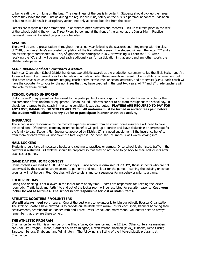to be no eating or drinking on the bus. The cleanliness of the bus is important. Students should pick up their area before they leave the bus. Just as during the regular bus runs, safety on the bus is a paramount concern. Violation of bus rules could result in disciplinary action, not only at school but also from the coach.

Parents are responsible for prompt pick up of athletes after practices and contests. Pick up will take place in the rear of the school, behind the gym at Three Rivers School and at the front of the school at the Junior High. Practice dismissal times will be listed on practice schedules.

## **AWARDS**

There will be award presentations throughout the school year following the season's end. Beginning with the class of 2018, upon an athlete's successful completion of the first athletic season, the student will earn the letter "C" and a pin for the sport participated in. Also, 5<sup>th</sup> graders that participate in XCC or wrestling will earn the "C". After receiving the "C", a pin will be awarded each additional year for participation in that sport and any other sports the athlete participates in.

## **SLICK BECKER and ART JOHNSON AWARDS**

Each year Channahon School District hands out two athletic awards at the graduation ceremony called the Slick Becker and Art Johnson Award. Each award goes to a female and a male athlete. These awards represent not only athletic achievement but also other areas such as character, integrity, coach ability, extracurricular school activities, and academics (GPA). Each coach will have the opportunity to vote for the nominees that they have coached in the past two years. All 7<sup>th</sup> and 8<sup>th</sup> grade teachers will also vote for these awards.

## **SCHOOL OWNED UNIFORMS**

Uniforms and/or equipment will be issued to the participants of various sports. Each student is responsible for the maintenance of this uniform or equipment. School issued uniforms are not to be worn throughout the school day. It should be returned to the coach in the same condition it was distributed. **PLAYERS ARE REQUIRED TO PAY FOR ANY LOST, DAMAGED, OR STOLEN ARTICLES. All uniforms must be turned in and/or fees paid before the student will be allowed to try out for or participate in another athletic activity.**

## **INSURANCE**

The school is not responsible for the medical expenses incurred from an injury; home insurance will need to cover this condition. Oftentimes, company insurance benefits will pick up a portion and leave deductible or percentage for the family to pay. Student Plan Insurance approved by District 17, is a good supplement if the insurance benefits from mom or dad's work will not cover the total expense. Student Plan Insurance is well worth looking into.

#### **HALL LOCKERS**

Students should take all necessary books and clothing to practices or games. Once school is dismissed, traffic in the hallways is restricted. All athletes should be prepared so that they do not need to go back to their hall lockers after practices or games.

#### **GAME DAY FOR HOME CONTEST**

Home contests will start at 4:30 PM on most days. Since school is dismissed at 2:40PM, those students who are not supervised by their coaches are expected to go home and return later for the game. Roaming the building or school grounds will not be permitted. Coaches will devise plans and consequences for misbehavior prior to a game.

#### **LOCKER ROOMS**

Eating and drinking is not allowed in the locker room at any time. Teams are responsible for keeping the locker room tidy. Traffic back and forth into and out of the locker room will be restricted for security reasons**. Keep your locker locked at all times. The school is not responsible for lost or stolen items.**

## **ATHLETIC BOOSTERS / VOLUNTEERS**

**We will always need volunteers**. One of the best ways to volunteer is to join our Athletic Booster Organization. The Athletic Boosters have allowed us to provide our students with warm-ups for each sport, banners honoring their achievements, scoreboards at Pioneer Path and Three Rivers School, and many more. Volunteers need to always remember that they are there to help.

### **THE ATHLETIC PROGRAM**

Channahon Junior High is a member of the Illinois Valley Conference and the I.E.S.A. Other conference members are Coal City, Dwight, Elwood, Gardner-South Wilmington, Mazon-Verona-Kinsman (MVK), Minooka, Reed-Custer, Saratoga, Seneca, Shabbona, and Wilmington. The following is a listing of the inter-scholastic programs at Channahon: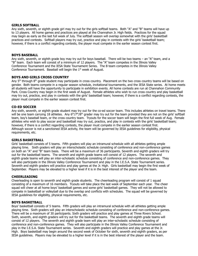#### **GIRLS SOFTBALL**

Any sixth, seventh, or eighth grade girl may try out for the girls softball teams. Both "A" and "B" teams will have up to 13 players. All home games and practices are played at the Channahon Jr. High fields. Practices for the squad may begin as early as the last full week of July. The softball season will overlap somewhat with the girls' basketball practices and contests. Softball players may try out, practice and play in contests with the girls' basketball team; however, if there is a conflict regarding contests, the player must compete in the earlier season contest first.

#### **BOYS BASEBALL**

Any sixth, seventh, or eighth grade boy may try out for boys baseball. There will be two teams – an "A" team, and a "B" team. Each team will consist of a minimum of 12 players. The "A" team competes in the Illinois Valley Conference Tournament and the IESA State Tournament Series. The B team competes in the Illinois Valley Conference Tournament. Baseball will begin the  $1<sup>st</sup>$  week of August.

#### **BOYS AND GIRLS CROSS COUNTRY**

Any 5<sup>th</sup> through 8<sup>th</sup> grade student may participate in cross country. Placement on the two cross country teams will be based on gender. Both teams compete in a regular season schedule, invitational tournaments, and the IESA State series. At home meets all students will have the opportunity to participate in exhibition events. All home contests are run at Channahon Community Park. Cross Country may begin in the first week of August. Female athletes who wish to run cross country and play basketball may try out, practice, and play in contests with the girls' basketball team; however, if there is a conflict regarding contests, the player must compete in the earlier season contest first.

#### **CO-ED SOCCER**

Any sixth, seventh, or eighth grade student may try out for the co-ed soccer team. This includes athletes on travel teams. There will be one team carrying 18 athletes. Any 6<sup>th</sup>/7<sup>th</sup>/8<sup>th</sup> grader may try out for the team provided they are not on the girls' softball team, boy's baseball team, or the cross country team. Tryouts for the soccer team will begin the first full week of Aug. Female athletes who wish to play soccer and basketball may try out, practice, and play in contests with the girls' basketball team; however, if there is a conflict regarding contests, the player must compete in the earlier season contest first. Although soccer is not a sanctioned IESA activity, the team will be governed by IESA guidelines for eligibility, physical requirements, etc.

#### **GIRLS BASKETBALL**

Girls' basketball consists of 5 teams. Fifth graders will play an intramural schedule with all athletes getting ample playing time. Sixth graders will play an interscholastic schedule consisting of conference and non-conference games on both an "A" and "B" team basis. There will be a maximum of 36 participants. Seventh and eighth graders will try out for the basketball teams. The seventh and eighth grade teams will consist of 12 players. The seventh and eighth grade teams will play an inter-scholastic schedule consisting of conference and non-conference games. They will also participate in the Illinois Valley Conference Tournament and play in the I.E.S.A. State Tournament series. Seventh and eighth graders will practice and play games at the Jr. High. Girls basketball may begin the first week of September. Players may be elevated to a higher level if it is in the best interest of the player and the team.

#### **CHEERLEADING**

Cheerleading is open to seventh and eighth grade students. The cheerleading program will consist of 1 squad consisting of a maximum of 16 members. Tryouts will take place the last week of September each year. The cheer squad will cheer at all home boys' basketball games and some girls' basketball games. They will not be allowed to compete in basketball or volleyball due to the overlap and conflicts with schedules. The squad will be governed by IESA guidelines for eligibility, physical requirements, etc.

#### **BOYS BASKETBALL**

Boys' basketball consists of 5 teams. Fifth graders will play an intramural schedule with all athletes getting ample playing time. Sixth graders will play an interscholastic schedule consisting of conference and non-conference games. There will be a maximum of 30 participants. Sixth graders will practice and play games at Three Rivers School. Sixth, seventh, and eighth graders will try out for the basketball teams. The seventh and eighth grade teams will consist of 12 players. The seventh and eighth grade team will play an inter-scholastic schedule consisting of conference and non-conference games. They will also participate in the Illinois Valley Conference Tournament and play in the I.E.S.A. State Tournament series. Seventh and eighth graders will practice and play games at the Jr. High. Boys basketball may begin around the second week of October for sixth, seventh and eighth graders, as per IESA guidelines. Players may be elevated to a higher level if it is in the best interest of the player and the team.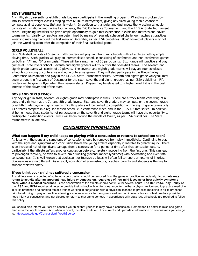## **BOYS WRESTLING**

Any fifth, sixth, seventh, or eighth grade boy may participate in the wrestling program. Wrestling is broken down into 19 different weight classes ranging from 65 lb. to heavyweight, giving any sized young man a chance to compete against opponents that are his weight. In addition to triangular and dual meets the wrestling schedule consists of invitational and novice tournaments, the IVC Conference Tournament, and the I.E.S.A. State Tournament series. Beginning wrestlers are given ample opportunity to gain mat experience in exhibition matches and novice tournaments. Varsity competitors are determined by means of regularly scheduled challenge matches at practices. Wrestling may begin around the first week of December, as per IESA guidelines. Boys' basketball players may not join the wrestling team after the completion of their final basketball game.

### **GIRLS VOLLEYBALL**

Girls' Volleyball consists of 5 teams. Fifth graders will play an intramural schedule with all athletes getting ample playing time. Sixth graders will play an interscholastic schedule consisting of conference and non-conference games on both an "A" and "B" team basis. There will be a maximum of 30 participants. Sixth grade will practice and play games at Three Rivers School. Seventh and eighth graders will try out for the volleyball teams. The seventh and eighth grade teams will consist of 12 players. The seventh and eighth grade teams will play an inter-scholastic schedule consisting of conference and non-conference games. They will also participate in the Illinois Valley Conference Tournament and play in the I.E.S.A. State Tournament series. Seventh and eighth grade volleyball may begin around the first week of December for the sixth, seventh, and eighth graders, as per IESA guidelines. Fifth graders will be given a flyer when their season starts. Players may be elevated to a higher level if it is in the best interest of the player and of the team.

## **BOYS AND GIRLS TRACK**

Any boy or girl in sixth, seventh, or eighth grade may participate in track. There are 4 track teams consisting of a boys and girls team at the 7th and 8th grade levels. Sixth and seventh graders may compete on the seventh grade or eighth grade boys' and girls' teams. Eighth graders will be limited to competition on the eighth grade teams only. All 4 teams compete in a regular season schedule, a conference meet, and in the I.E.S.A. State series. In addition, at home meets those students not participating on the seventh and eighth grade teams will have the opportunity to participate in exhibition events. Track will begin around the middle of March, as per IESA guidelines. The State tournament is in late May.

## **CONCUSSION INFORMATION**

## **What can happen if my child keeps on playing with a concussion or returns to school too soon?**

Athletes with the signs and symptoms of concussion should be removed from play immediately. Continuing to play with the signs and symptoms of a concussion leaves the young athlete especially vulnerable to greater injury. There is an increased risk of significant damage from a concussion for a period of time after that concussion occurs, particularly if the athlete suffers another concussion before completely recovering from the first one. This can lead to prolonged recovery, or even to severe brain swelling (second impact syndrome) with devastating and even fatal consequences. It is well known that adolescent or teenage athletes will often fail to report symptoms of injuries. Concussions are no different. As a result, education of administrators, coaches, parents and students is the key to student-athlete's safety.

## **If you think your child has suffered a concussion**

Any athlete even suspected of suffering a concussion should be removed from the game or practice immediately. **No athlete may return to activity after an apparent head injury or concussion, regardless of how mild it seems or how quickly symptoms clear, without medical clearance**. Close observation of the athlete should continue for several hours. **The Return-to- Play Policy of the IESA and IHSA** requires athletes to provide their school with written clearance from either a physician licensed to practice medicine in all its branches or a certified athletic trainer working in conjunction with a physician licensed to practice medicine in all its branches prior to returning to play or practice following a concussion or after being removed from an interscholastic contest due to a possible head injury or concussion and not cleared to return to that same contest. In accordance with state law, all schools are required to follow this policy.

You should also inform your child's coach if you think that your child may have a concussion. Remember it's better to miss one game than miss the whole season. And when in doubt, the athlete sits out. For current and up-to-date information on concussions you can go to: <http://www.cdc.gov/ConcussionInYouthSports/>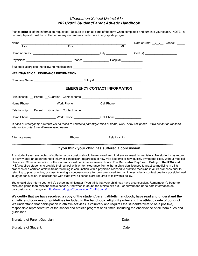# *Channahon School District #17 2021/2022 Student/Parent Athletic Handbook*

Please **print** all of the information requested. Be sure to sign all parts of the form when completed and turn into your coach. NOTE: a current physical must be on file before any student may participate in any sports program.

| Name: _______________                          |                                                                                                                                                                                                                                                                                                                                                                                                                                                                                                                                                                                                                                                                                                                                                                                                                                                                                                                                                             |                                                   | Date of Birth: $\frac{1}{1}$ $\frac{1}{1}$ Grade: _____ |  |
|------------------------------------------------|-------------------------------------------------------------------------------------------------------------------------------------------------------------------------------------------------------------------------------------------------------------------------------------------------------------------------------------------------------------------------------------------------------------------------------------------------------------------------------------------------------------------------------------------------------------------------------------------------------------------------------------------------------------------------------------------------------------------------------------------------------------------------------------------------------------------------------------------------------------------------------------------------------------------------------------------------------------|---------------------------------------------------|---------------------------------------------------------|--|
| Last                                           | First                                                                                                                                                                                                                                                                                                                                                                                                                                                                                                                                                                                                                                                                                                                                                                                                                                                                                                                                                       | MI                                                |                                                         |  |
|                                                |                                                                                                                                                                                                                                                                                                                                                                                                                                                                                                                                                                                                                                                                                                                                                                                                                                                                                                                                                             |                                                   |                                                         |  |
|                                                |                                                                                                                                                                                                                                                                                                                                                                                                                                                                                                                                                                                                                                                                                                                                                                                                                                                                                                                                                             |                                                   |                                                         |  |
|                                                | Student is allergic to the following medications: ______________________________                                                                                                                                                                                                                                                                                                                                                                                                                                                                                                                                                                                                                                                                                                                                                                                                                                                                            |                                                   |                                                         |  |
| <b>HEALTH/MEDICAL INSURANCE INFORMATION</b>    |                                                                                                                                                                                                                                                                                                                                                                                                                                                                                                                                                                                                                                                                                                                                                                                                                                                                                                                                                             |                                                   |                                                         |  |
|                                                |                                                                                                                                                                                                                                                                                                                                                                                                                                                                                                                                                                                                                                                                                                                                                                                                                                                                                                                                                             |                                                   |                                                         |  |
|                                                |                                                                                                                                                                                                                                                                                                                                                                                                                                                                                                                                                                                                                                                                                                                                                                                                                                                                                                                                                             | <b>EMERGENCY CONTACT INFORMATION</b>              |                                                         |  |
|                                                | Relationship: __ Parent __Guardian Contact name ________________________________                                                                                                                                                                                                                                                                                                                                                                                                                                                                                                                                                                                                                                                                                                                                                                                                                                                                            |                                                   |                                                         |  |
|                                                | Home Phone: ____________________Work Phone __________________Cell Phone _______________                                                                                                                                                                                                                                                                                                                                                                                                                                                                                                                                                                                                                                                                                                                                                                                                                                                                     |                                                   |                                                         |  |
|                                                | Relationship: __ Parent __Guardian Contact name ________________________________                                                                                                                                                                                                                                                                                                                                                                                                                                                                                                                                                                                                                                                                                                                                                                                                                                                                            |                                                   |                                                         |  |
|                                                | Home Phone: __________________Work Phone __________________Cell Phone ___________                                                                                                                                                                                                                                                                                                                                                                                                                                                                                                                                                                                                                                                                                                                                                                                                                                                                           |                                                   |                                                         |  |
| attempt to contact the alternate listed below. | In case of emergency, attempts will be made to contact a parent/guardian at home, work, or by cell phone. If we cannot be reached,                                                                                                                                                                                                                                                                                                                                                                                                                                                                                                                                                                                                                                                                                                                                                                                                                          |                                                   |                                                         |  |
|                                                |                                                                                                                                                                                                                                                                                                                                                                                                                                                                                                                                                                                                                                                                                                                                                                                                                                                                                                                                                             |                                                   |                                                         |  |
|                                                |                                                                                                                                                                                                                                                                                                                                                                                                                                                                                                                                                                                                                                                                                                                                                                                                                                                                                                                                                             | If you think your child has suffered a concussion |                                                         |  |
|                                                | Any student even suspected of suffering a concussion should be removed from that environment immediately. No student may return<br>to activity after an apparent head injury or concussion, regardless of how mild it seems or how quickly symptoms clear, without medical<br>clearance. Close observation of the student should continue for several hours. The Return-to- Play/Learn Policy of the IESA and<br>IHSA requires students to provide their school with written clearance from either a physician licensed to practice medicine in all its<br>branches or a certified athletic trainer working in conjunction with a physician licensed to practice medicine in all its branches prior to<br>returning to play, practice, or class following a concussion or after being removed from an interscholastic contest due to a possible head<br>injury or concussion. In accordance with state law, all schools are required to follow this policy. |                                                   |                                                         |  |
|                                                | You should also inform your child's school administrator if you think that your child may have a concussion. Remember it's better to<br>miss one game than miss the whole season. And when in doubt, the athlete sits out. For current and up-to-date information on<br>concussions you can go to: http://www.cdc.gov/ConcussionInYouthSports/                                                                                                                                                                                                                                                                                                                                                                                                                                                                                                                                                                                                              |                                                   |                                                         |  |
| guidelines.                                    | We certify that we have received a copy of the student/parent athletic handbook, have read and understand the<br>athletic and concussion guidelines included in the handbook, eligibility rules and the athletic code of conduct.<br>We understand that participation in athletic activities is voluntary and requires the student/athlete to be a positive,<br>responsible representative of the school and athletic program at all times, including the observance of all team rules and                                                                                                                                                                                                                                                                                                                                                                                                                                                                  |                                                   |                                                         |  |

| Signature of Parent/Guardian: | Date: |  |  |
|-------------------------------|-------|--|--|
|                               |       |  |  |
| Signature of Student:         | Date: |  |  |